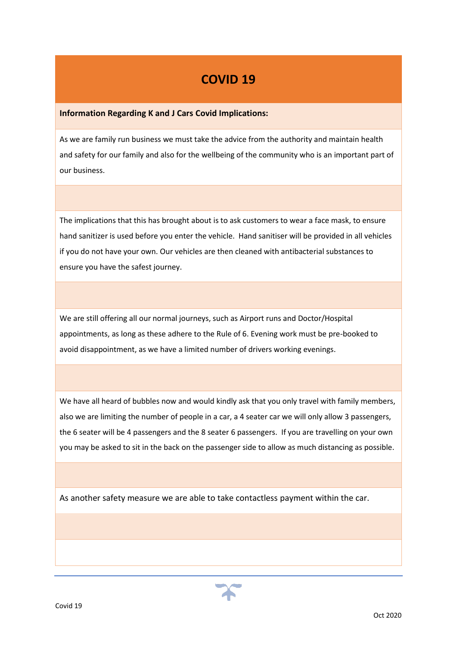## **COVID 19**

## **Information Regarding K and J Cars Covid Implications:**

As we are family run business we must take the advice from the authority and maintain health and safety for our family and also for the wellbeing of the community who is an important part of our business.

The implications that this has brought about is to ask customers to wear a face mask, to ensure hand sanitizer is used before you enter the vehicle. Hand sanitiser will be provided in all vehicles if you do not have your own. Our vehicles are then cleaned with antibacterial substances to ensure you have the safest journey.

We are still offering all our normal journeys, such as Airport runs and Doctor/Hospital appointments, as long as these adhere to the Rule of 6. Evening work must be pre-booked to avoid disappointment, as we have a limited number of drivers working evenings.

We have all heard of bubbles now and would kindly ask that you only travel with family members, also we are limiting the number of people in a car, a 4 seater car we will only allow 3 passengers, the 6 seater will be 4 passengers and the 8 seater 6 passengers. If you are travelling on your own you may be asked to sit in the back on the passenger side to allow as much distancing as possible.

As another safety measure we are able to take contactless payment within the car.